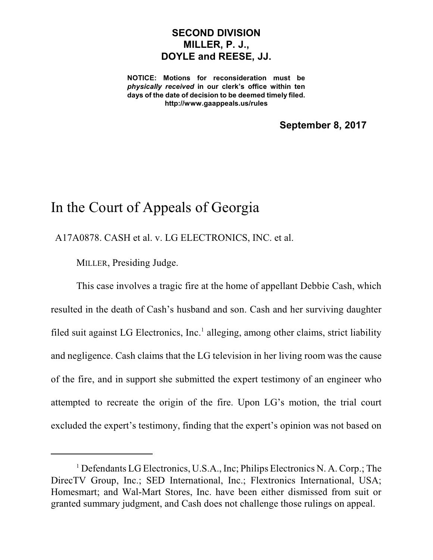## **SECOND DIVISION MILLER, P. J., DOYLE and REESE, JJ.**

**NOTICE: Motions for reconsideration must be** *physically received* **in our clerk's office within ten days of the date of decision to be deemed timely filed. http://www.gaappeals.us/rules**

**September 8, 2017**

# In the Court of Appeals of Georgia

A17A0878. CASH et al. v. LG ELECTRONICS, INC. et al.

MILLER, Presiding Judge.

This case involves a tragic fire at the home of appellant Debbie Cash, which resulted in the death of Cash's husband and son. Cash and her surviving daughter filed suit against LG Electronics, Inc.<sup>1</sup> alleging, among other claims, strict liability and negligence. Cash claims that the LG television in her living room was the cause of the fire, and in support she submitted the expert testimony of an engineer who attempted to recreate the origin of the fire. Upon LG's motion, the trial court excluded the expert's testimony, finding that the expert's opinion was not based on

<sup>&</sup>lt;sup>1</sup> Defendants LG Electronics, U.S.A., Inc; Philips Electronics N. A. Corp.; The DirecTV Group, Inc.; SED International, Inc.; Flextronics International, USA; Homesmart; and Wal-Mart Stores, Inc. have been either dismissed from suit or granted summary judgment, and Cash does not challenge those rulings on appeal.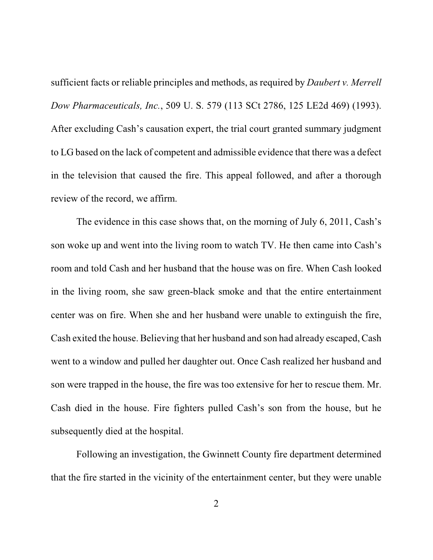sufficient facts or reliable principles and methods, as required by *Daubert v. Merrell Dow Pharmaceuticals, Inc.*, 509 U. S. 579 (113 SCt 2786, 125 LE2d 469) (1993). After excluding Cash's causation expert, the trial court granted summary judgment to LG based on the lack of competent and admissible evidence that there was a defect in the television that caused the fire. This appeal followed, and after a thorough review of the record, we affirm.

The evidence in this case shows that, on the morning of July 6, 2011, Cash's son woke up and went into the living room to watch TV. He then came into Cash's room and told Cash and her husband that the house was on fire. When Cash looked in the living room, she saw green-black smoke and that the entire entertainment center was on fire. When she and her husband were unable to extinguish the fire, Cash exited the house. Believing that her husband and son had already escaped, Cash went to a window and pulled her daughter out. Once Cash realized her husband and son were trapped in the house, the fire was too extensive for her to rescue them. Mr. Cash died in the house. Fire fighters pulled Cash's son from the house, but he subsequently died at the hospital.

Following an investigation, the Gwinnett County fire department determined that the fire started in the vicinity of the entertainment center, but they were unable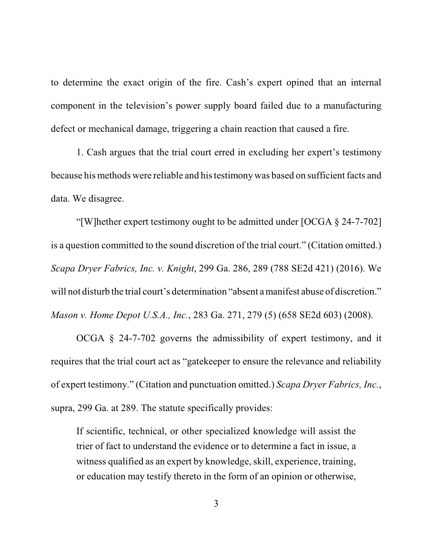to determine the exact origin of the fire. Cash's expert opined that an internal component in the television's power supply board failed due to a manufacturing defect or mechanical damage, triggering a chain reaction that caused a fire.

1. Cash argues that the trial court erred in excluding her expert's testimony because his methods were reliable and histestimonywas based on sufficient facts and data. We disagree.

"[W]hether expert testimony ought to be admitted under [OCGA § 24-7-702] is a question committed to the sound discretion of the trial court." (Citation omitted.) *Scapa Dryer Fabrics, Inc. v. Knight*, 299 Ga. 286, 289 (788 SE2d 421) (2016). We will not disturb the trial court's determination "absent a manifest abuse of discretion." *Mason v. Home Depot U.S.A., Inc.*, 283 Ga. 271, 279 (5) (658 SE2d 603) (2008).

OCGA § 24-7-702 governs the admissibility of expert testimony, and it requires that the trial court act as "gatekeeper to ensure the relevance and reliability of expert testimony." (Citation and punctuation omitted.) *Scapa Dryer Fabrics, Inc.*, supra, 299 Ga. at 289. The statute specifically provides:

If scientific, technical, or other specialized knowledge will assist the trier of fact to understand the evidence or to determine a fact in issue, a witness qualified as an expert by knowledge, skill, experience, training, or education may testify thereto in the form of an opinion or otherwise,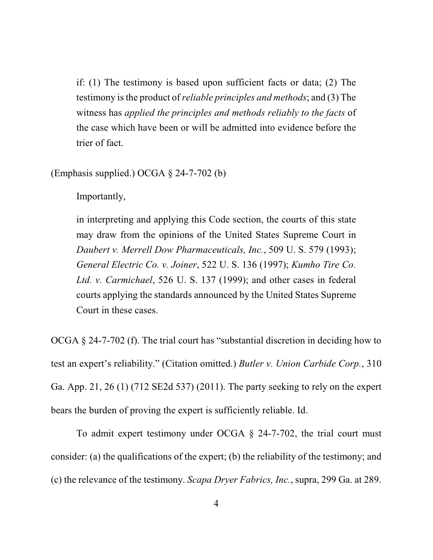if: (1) The testimony is based upon sufficient facts or data; (2) The testimony isthe product of *reliable principles and methods*; and (3) The witness has *applied the principles and methods reliably to the facts* of the case which have been or will be admitted into evidence before the trier of fact.

(Emphasis supplied.) OCGA § 24-7-702 (b)

Importantly,

in interpreting and applying this Code section, the courts of this state may draw from the opinions of the United States Supreme Court in *Daubert v. Merrell Dow Pharmaceuticals, Inc.*, 509 U. S. 579 (1993); *General Electric Co. v. Joiner*, 522 U. S. 136 (1997); *Kumho Tire Co. Ltd. v. Carmichael*, 526 U. S. 137 (1999); and other cases in federal courts applying the standards announced by the United States Supreme Court in these cases.

OCGA § 24-7-702 (f). The trial court has "substantial discretion in deciding how to test an expert's reliability." (Citation omitted.) *Butler v. Union Carbide Corp.*, 310 Ga. App. 21, 26 (1) (712 SE2d 537) (2011). The party seeking to rely on the expert bears the burden of proving the expert is sufficiently reliable. Id.

To admit expert testimony under OCGA § 24-7-702, the trial court must consider: (a) the qualifications of the expert; (b) the reliability of the testimony; and (c) the relevance of the testimony. *Scapa Dryer Fabrics, Inc.*, supra, 299 Ga. at 289.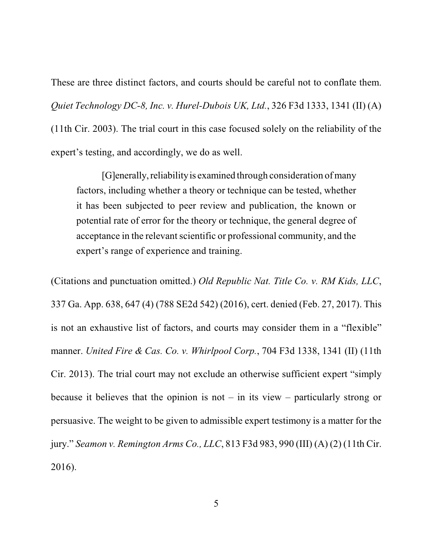These are three distinct factors, and courts should be careful not to conflate them. *Quiet Technology DC-8, Inc. v. Hurel-Dubois UK, Ltd.*, 326 F3d 1333, 1341 (II) (A) (11th Cir. 2003). The trial court in this case focused solely on the reliability of the expert's testing, and accordingly, we do as well.

[G]enerally, reliability is examined through consideration of many factors, including whether a theory or technique can be tested, whether it has been subjected to peer review and publication, the known or potential rate of error for the theory or technique, the general degree of acceptance in the relevant scientific or professional community, and the expert's range of experience and training.

(Citations and punctuation omitted.) *Old Republic Nat. Title Co. v. RM Kids, LLC*, 337 Ga. App. 638, 647 (4) (788 SE2d 542) (2016), cert. denied (Feb. 27, 2017). This is not an exhaustive list of factors, and courts may consider them in a "flexible" manner. *United Fire & Cas. Co. v. Whirlpool Corp.*, 704 F3d 1338, 1341 (II) (11th Cir. 2013). The trial court may not exclude an otherwise sufficient expert "simply because it believes that the opinion is not – in its view – particularly strong or persuasive. The weight to be given to admissible expert testimony is a matter for the jury." *Seamon v. Remington Arms Co., LLC*, 813 F3d 983, 990 (III) (A) (2) (11th Cir. 2016).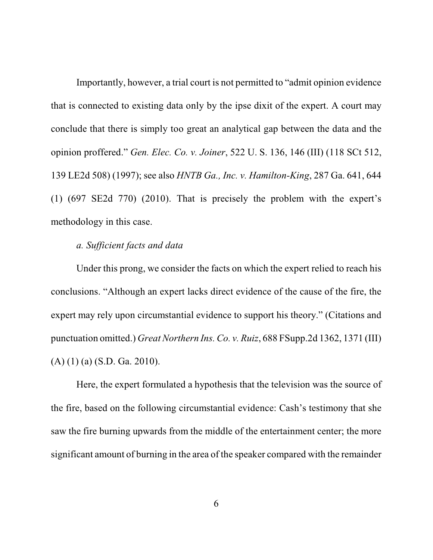Importantly, however, a trial court is not permitted to "admit opinion evidence that is connected to existing data only by the ipse dixit of the expert. A court may conclude that there is simply too great an analytical gap between the data and the opinion proffered." *Gen. Elec. Co. v. Joiner*, 522 U. S. 136, 146 (III) (118 SCt 512, 139 LE2d 508) (1997); see also *HNTB Ga., Inc. v. Hamilton-King*, 287 Ga. 641, 644 (1) (697 SE2d 770) (2010). That is precisely the problem with the expert's methodology in this case.

#### *a. Sufficient facts and data*

Under this prong, we consider the facts on which the expert relied to reach his conclusions. "Although an expert lacks direct evidence of the cause of the fire, the expert may rely upon circumstantial evidence to support his theory." (Citations and punctuation omitted.) *Great Northern Ins. Co. v. Ruiz*, 688 FSupp.2d 1362, 1371 (III) (A) (1) (a) (S.D. Ga. 2010).

Here, the expert formulated a hypothesis that the television was the source of the fire, based on the following circumstantial evidence: Cash's testimony that she saw the fire burning upwards from the middle of the entertainment center; the more significant amount of burning in the area of the speaker compared with the remainder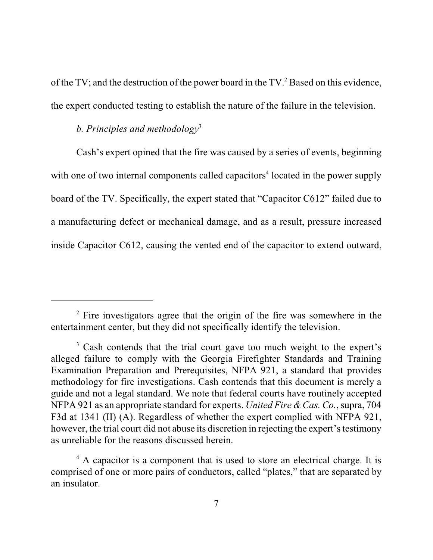of the TV; and the destruction of the power board in the TV.<sup>2</sup> Based on this evidence, the expert conducted testing to establish the nature of the failure in the television.

### *b. Principles and methodology* 3

Cash's expert opined that the fire was caused by a series of events, beginning with one of two internal components called capacitors<sup>4</sup> located in the power supply board of the TV. Specifically, the expert stated that "Capacitor C612" failed due to a manufacturing defect or mechanical damage, and as a result, pressure increased inside Capacitor C612, causing the vented end of the capacitor to extend outward,

<sup>&</sup>lt;sup>2</sup> Fire investigators agree that the origin of the fire was somewhere in the entertainment center, but they did not specifically identify the television.

<sup>&</sup>lt;sup>3</sup> Cash contends that the trial court gave too much weight to the expert's alleged failure to comply with the Georgia Firefighter Standards and Training Examination Preparation and Prerequisites, NFPA 921, a standard that provides methodology for fire investigations. Cash contends that this document is merely a guide and not a legal standard. We note that federal courts have routinely accepted NFPA 921 as an appropriate standard for experts. *United Fire &Cas. Co.*, supra, 704 F3d at 1341 (II) (A). Regardless of whether the expert complied with NFPA 921, however, the trial court did not abuse its discretion in rejecting the expert's testimony as unreliable for the reasons discussed herein.

<sup>&</sup>lt;sup>4</sup> A capacitor is a component that is used to store an electrical charge. It is comprised of one or more pairs of conductors, called "plates," that are separated by an insulator.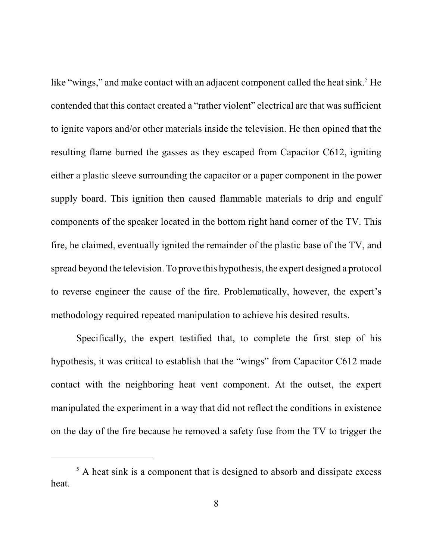like "wings," and make contact with an adjacent component called the heat sink.<sup>5</sup> He contended that this contact created a "rather violent" electrical arc that was sufficient to ignite vapors and/or other materials inside the television. He then opined that the resulting flame burned the gasses as they escaped from Capacitor C612, igniting either a plastic sleeve surrounding the capacitor or a paper component in the power supply board. This ignition then caused flammable materials to drip and engulf components of the speaker located in the bottom right hand corner of the TV. This fire, he claimed, eventually ignited the remainder of the plastic base of the TV, and spread beyond the television. To prove this hypothesis, the expert designed a protocol to reverse engineer the cause of the fire. Problematically, however, the expert's methodology required repeated manipulation to achieve his desired results.

Specifically, the expert testified that, to complete the first step of his hypothesis, it was critical to establish that the "wings" from Capacitor C612 made contact with the neighboring heat vent component. At the outset, the expert manipulated the experiment in a way that did not reflect the conditions in existence on the day of the fire because he removed a safety fuse from the TV to trigger the

 $<sup>5</sup>$  A heat sink is a component that is designed to absorb and dissipate excess</sup> heat.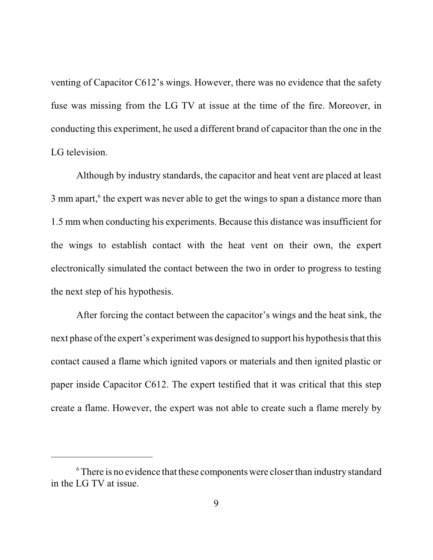venting of Capacitor C612's wings. However, there was no evidence that the safety fuse was missing from the LG TV at issue at the time of the fire. Moreover, in conducting this experiment, he used a different brand of capacitor than the one in the LG television.

Although by industry standards, the capacitor and heat vent are placed at least 3 mm apart,<sup>6</sup> the expert was never able to get the wings to span a distance more than 1.5 mm when conducting his experiments. Because this distance was insufficient for the wings to establish contact with the heat vent on their own, the expert electronically simulated the contact between the two in order to progress to testing the next step of his hypothesis.

After forcing the contact between the capacitor's wings and the heat sink, the next phase of the expert's experiment was designed to support his hypothesis that this contact caused a flame which ignited vapors or materials and then ignited plastic or paper inside Capacitor C612. The expert testified that it was critical that this step create a flame. However, the expert was not able to create such a flame merely by

<sup>&</sup>lt;sup>6</sup> There is no evidence that these components were closer than industry standard in the LG TV at issue.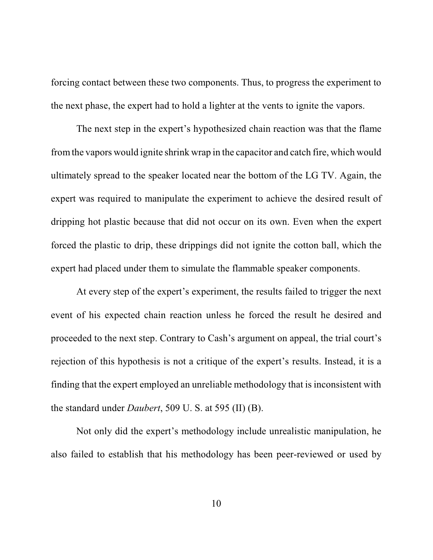forcing contact between these two components. Thus, to progress the experiment to the next phase, the expert had to hold a lighter at the vents to ignite the vapors.

The next step in the expert's hypothesized chain reaction was that the flame fromthe vapors would ignite shrink wrap in the capacitor and catch fire, which would ultimately spread to the speaker located near the bottom of the LG TV. Again, the expert was required to manipulate the experiment to achieve the desired result of dripping hot plastic because that did not occur on its own. Even when the expert forced the plastic to drip, these drippings did not ignite the cotton ball, which the expert had placed under them to simulate the flammable speaker components.

At every step of the expert's experiment, the results failed to trigger the next event of his expected chain reaction unless he forced the result he desired and proceeded to the next step. Contrary to Cash's argument on appeal, the trial court's rejection of this hypothesis is not a critique of the expert's results. Instead, it is a finding that the expert employed an unreliable methodology that is inconsistent with the standard under *Daubert*, 509 U. S. at 595 (II) (B).

Not only did the expert's methodology include unrealistic manipulation, he also failed to establish that his methodology has been peer-reviewed or used by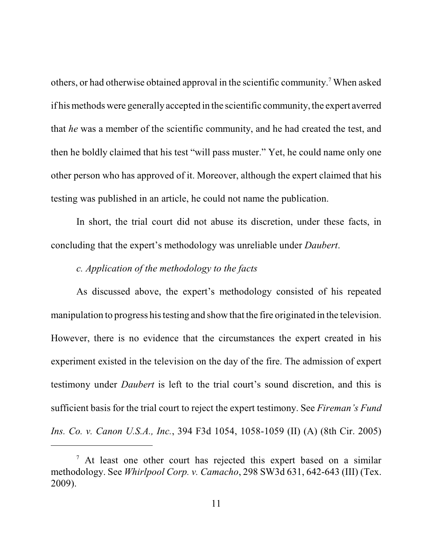others, or had otherwise obtained approval in the scientific community. <sup>7</sup> When asked if hismethods were generally accepted in the scientific community, the expert averred that *he* was a member of the scientific community, and he had created the test, and then he boldly claimed that his test "will pass muster." Yet, he could name only one other person who has approved of it. Moreover, although the expert claimed that his testing was published in an article, he could not name the publication.

In short, the trial court did not abuse its discretion, under these facts, in concluding that the expert's methodology was unreliable under *Daubert*.

#### *c. Application of the methodology to the facts*

As discussed above, the expert's methodology consisted of his repeated manipulation to progress his testing and show that the fire originated in the television. However, there is no evidence that the circumstances the expert created in his experiment existed in the television on the day of the fire. The admission of expert testimony under *Daubert* is left to the trial court's sound discretion, and this is sufficient basis for the trial court to reject the expert testimony. See *Fireman's Fund Ins. Co. v. Canon U.S.A., Inc.*, 394 F3d 1054, 1058-1059 (II) (A) (8th Cir. 2005)

 $<sup>7</sup>$  At least one other court has rejected this expert based on a similar</sup> methodology. See *Whirlpool Corp. v. Camacho*, 298 SW3d 631, 642-643 (III) (Tex. 2009).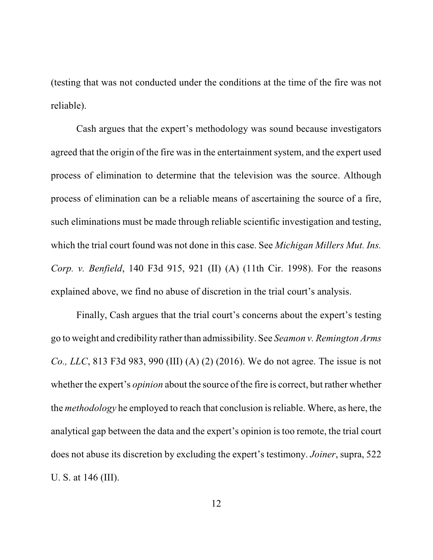(testing that was not conducted under the conditions at the time of the fire was not reliable).

Cash argues that the expert's methodology was sound because investigators agreed that the origin of the fire was in the entertainment system, and the expert used process of elimination to determine that the television was the source. Although process of elimination can be a reliable means of ascertaining the source of a fire, such eliminations must be made through reliable scientific investigation and testing, which the trial court found was not done in this case. See *Michigan Millers Mut. Ins. Corp. v. Benfield*, 140 F3d 915, 921 (II) (A) (11th Cir. 1998). For the reasons explained above, we find no abuse of discretion in the trial court's analysis.

Finally, Cash argues that the trial court's concerns about the expert's testing go to weight and credibility rather than admissibility. See *Seamon v. Remington Arms Co., LLC*, 813 F3d 983, 990 (III) (A) (2) (2016). We do not agree. The issue is not whether the expert's *opinion* about the source of the fire is correct, but rather whether the *methodology* he employed to reach that conclusion is reliable. Where, as here, the analytical gap between the data and the expert's opinion is too remote, the trial court does not abuse its discretion by excluding the expert's testimony. *Joiner*, supra, 522 U. S. at 146 (III).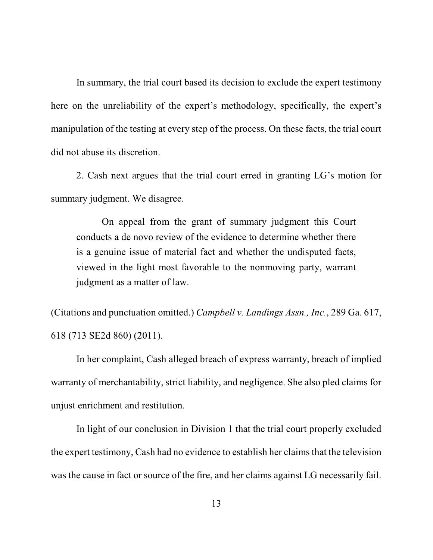In summary, the trial court based its decision to exclude the expert testimony here on the unreliability of the expert's methodology, specifically, the expert's manipulation of the testing at every step of the process. On these facts, the trial court did not abuse its discretion.

2. Cash next argues that the trial court erred in granting LG's motion for summary judgment. We disagree.

On appeal from the grant of summary judgment this Court conducts a de novo review of the evidence to determine whether there is a genuine issue of material fact and whether the undisputed facts, viewed in the light most favorable to the nonmoving party, warrant judgment as a matter of law.

(Citations and punctuation omitted.) *Campbell v. Landings Assn., Inc.*, 289 Ga. 617, 618 (713 SE2d 860) (2011).

In her complaint, Cash alleged breach of express warranty, breach of implied warranty of merchantability, strict liability, and negligence. She also pled claims for unjust enrichment and restitution.

In light of our conclusion in Division 1 that the trial court properly excluded the expert testimony, Cash had no evidence to establish her claims that the television was the cause in fact or source of the fire, and her claims against LG necessarily fail.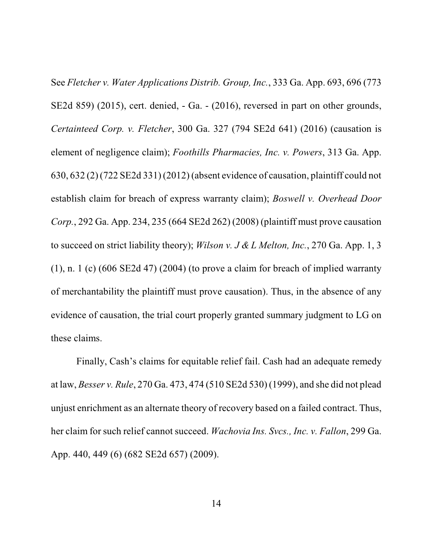See *Fletcher v. Water Applications Distrib. Group, Inc.*, 333 Ga. App. 693, 696 (773 SE2d 859) (2015), cert. denied, - Ga. - (2016), reversed in part on other grounds, *Certainteed Corp. v. Fletcher*, 300 Ga. 327 (794 SE2d 641) (2016) (causation is element of negligence claim); *Foothills Pharmacies, Inc. v. Powers*, 313 Ga. App. 630, 632 (2) (722 SE2d 331) (2012) (absent evidence of causation, plaintiff could not establish claim for breach of express warranty claim); *Boswell v. Overhead Door Corp.*, 292 Ga. App. 234, 235 (664 SE2d 262) (2008) (plaintiff must prove causation to succeed on strict liability theory); *Wilson v. J & L Melton, Inc.*, 270 Ga. App. 1, 3  $(1)$ , n. 1 (c)  $(606 \text{ SE2d } 47)$   $(2004)$  (to prove a claim for breach of implied warranty of merchantability the plaintiff must prove causation). Thus, in the absence of any evidence of causation, the trial court properly granted summary judgment to LG on these claims.

Finally, Cash's claims for equitable relief fail. Cash had an adequate remedy at law, *Besser v. Rule*, 270 Ga. 473, 474 (510 SE2d 530) (1999), and she did not plead unjust enrichment as an alternate theory of recovery based on a failed contract. Thus, her claim for such relief cannot succeed. *Wachovia Ins. Svcs., Inc. v. Fallon*, 299 Ga. App. 440, 449 (6) (682 SE2d 657) (2009).